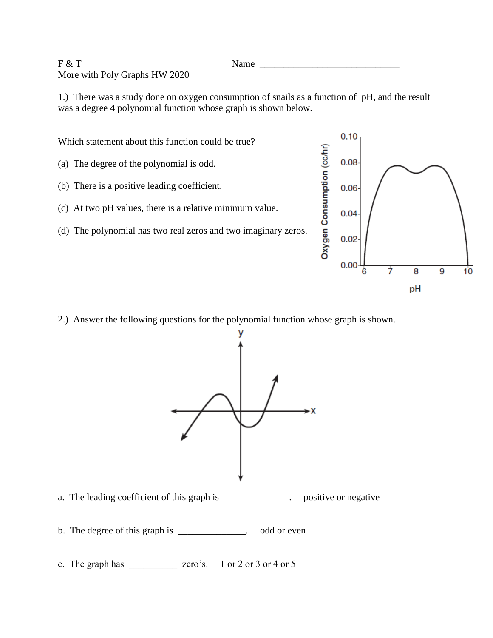## $F & T$  Name  $\frac{1}{\sqrt{2\pi}}$ More with Poly Graphs HW 2020

1.) There was a study done on oxygen consumption of snails as a function of pH, and the result was a degree 4 polynomial function whose graph is shown below.

Which statement about this function could be true?

- (a) The degree of the polynomial is odd.
- (b) There is a positive leading coefficient.
- (c) At two pH values, there is a relative minimum value.
- (d) The polynomial has two real zeros and two imaginary zeros.



2.) Answer the following questions for the polynomial function whose graph is shown.



- a. The leading coefficient of this graph is \_\_\_\_\_\_\_\_\_\_\_\_\_. positive or negative
- b. The degree of this graph is \_\_\_\_\_\_\_\_\_\_\_\_\_. odd or even
- c. The graph has \_\_\_\_\_\_\_\_\_\_ zero's. 1 or 2 or 3 or 4 or 5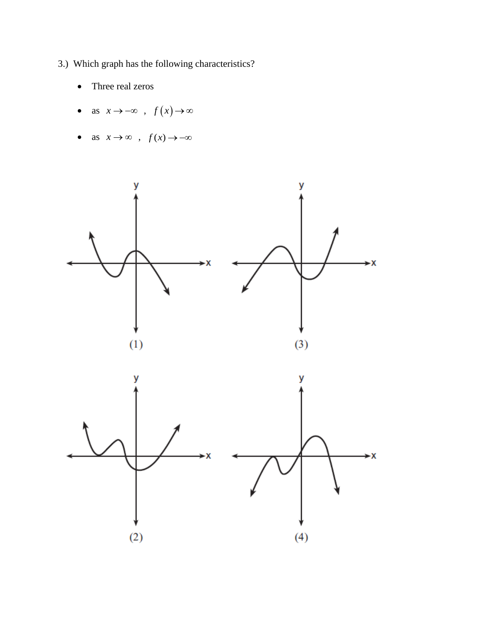- 3.) Which graph has the following characteristics?
	- Three real zeros  $\bullet$
	- as  $x \to -\infty$ ,  $f(x) \to \infty$
	- as  $x \to \infty$ ,  $f(x) \to -\infty$